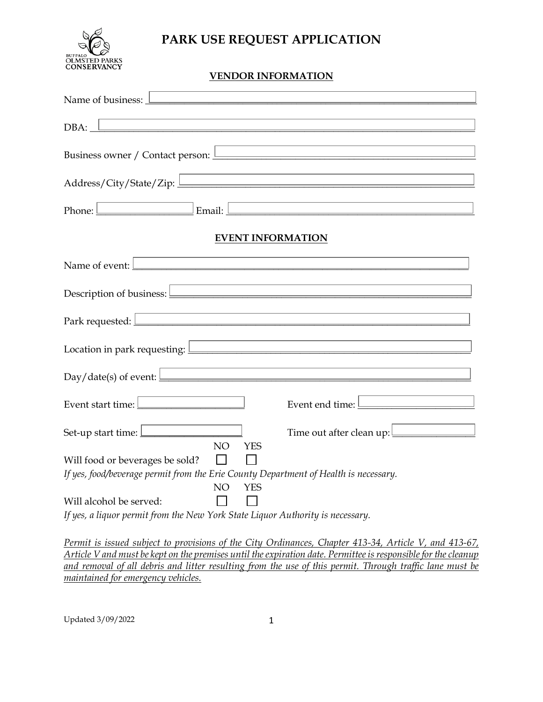

# **PARK USE REQUEST APPLICATION**

## **VENDOR INFORMATION**

| Name of business: <u>Land Communication</u> Communication and Communication Communication Communication Communication                                                                                                                                                                                                                                        |  |  |  |  |  |  |
|--------------------------------------------------------------------------------------------------------------------------------------------------------------------------------------------------------------------------------------------------------------------------------------------------------------------------------------------------------------|--|--|--|--|--|--|
| $DBA:$ $\Box$<br><u> 1980 - Johann Stein, fransk politik (d. 1980)</u>                                                                                                                                                                                                                                                                                       |  |  |  |  |  |  |
| Business owner / Contact person: Letter and the set of the set of the set of the set of the set of the set of the set of the set of the set of the set of the set of the set of the set of the set of the set of the set of th                                                                                                                               |  |  |  |  |  |  |
| <u> 1989 - Johann Stein, marwolaethau a bhann an t-Amhain an t-Amhain an t-Amhain an t-Amhain an t-Amhain an t-A</u>                                                                                                                                                                                                                                         |  |  |  |  |  |  |
|                                                                                                                                                                                                                                                                                                                                                              |  |  |  |  |  |  |
| <b>EVENT INFORMATION</b>                                                                                                                                                                                                                                                                                                                                     |  |  |  |  |  |  |
| Name of event: <u>Land and a series of events and a series of events</u> and a series of events and a series of events of                                                                                                                                                                                                                                    |  |  |  |  |  |  |
| Description of business: $\boxed{\phantom{1.5}_{1.1}}$                                                                                                                                                                                                                                                                                                       |  |  |  |  |  |  |
| <u> 1989 - Johann Stein, marwolaethau a bhann an t-Amhair an t-Amhair an t-Amhair an t-Amhair an t-Amhair an t-A</u><br>Park requested: <u>New York: New York: New York: New York: New York: New York: New York: New York: New York: New York: New York: New York: New York: New York: New York: New York: New York: New York: New York: New York: New Y</u> |  |  |  |  |  |  |
| Location in park requesting: <u>Denomination and the set of the set of the set of the set of the set of the set of the set of the set of the set of the set of the set of the set of the set of the set of the set of the set of</u>                                                                                                                         |  |  |  |  |  |  |
| $Day / date(s)$ of event: $\boxed{\phantom{\underline{\hspace{2cm}}}$                                                                                                                                                                                                                                                                                        |  |  |  |  |  |  |
| Event start time:<br>Event end time:                                                                                                                                                                                                                                                                                                                         |  |  |  |  |  |  |
| Set-up start time:<br>Time out after clean up: $\boxed{\underline{\qquad \qquad }}$<br>NO.<br><b>YES</b>                                                                                                                                                                                                                                                     |  |  |  |  |  |  |
| Will food or beverages be sold?                                                                                                                                                                                                                                                                                                                              |  |  |  |  |  |  |
| If yes, food/beverage permit from the Erie County Department of Health is necessary.<br>NO<br><b>YES</b>                                                                                                                                                                                                                                                     |  |  |  |  |  |  |
| Will alcohol be served:<br>If yes, a liquor permit from the New York State Liquor Authority is necessary.                                                                                                                                                                                                                                                    |  |  |  |  |  |  |

*Permit is issued subject to provisions of the City Ordinances, Chapter 413-34, Article V, and 413-67, Article V and must be kept on the premises until the expiration date. Permittee is responsible for the cleanup and removal of all debris and litter resulting from the use of this permit. Through traffic lane must be maintained for emergency vehicles.*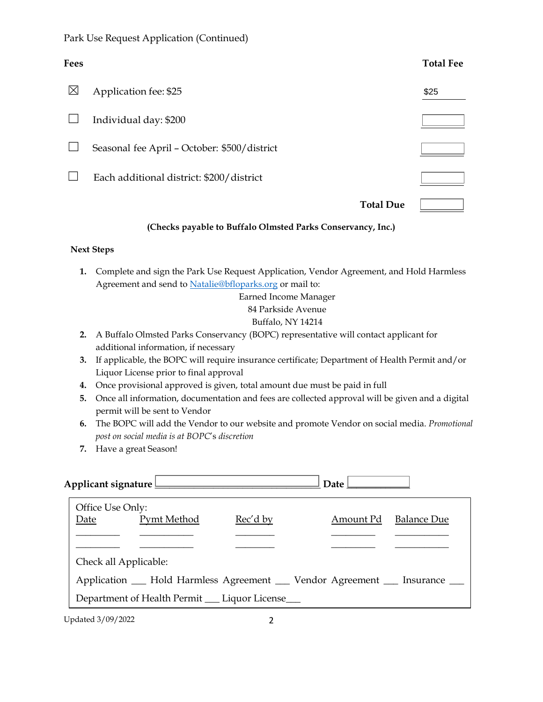## Park Use Request Application (Continued)

| Fees        |                                              |                  | <b>Total Fee</b> |
|-------------|----------------------------------------------|------------------|------------------|
| $\boxtimes$ | Application fee: \$25                        |                  | \$25             |
|             | Individual day: \$200                        |                  |                  |
|             | Seasonal fee April - October: \$500/district |                  |                  |
|             | Each additional district: \$200/district     |                  |                  |
|             |                                              | <b>Total Due</b> |                  |

#### **(Checks payable to Buffalo Olmsted Parks Conservancy, Inc.)**

### **Next Steps**

**1.** Complete and sign the Park Use Request Application, Vendor Agreement, and Hold Harmless Agreement and send to [Natalie@bfloparks.org](mailto:Natalie@bfloparks.org) or mail to:

Earned Income Manager

#### 84 Parkside Avenue

### Buffalo, NY 14214

- **2.** A Buffalo Olmsted Parks Conservancy (BOPC) representative will contact applicant for additional information, if necessary
- **3.** If applicable, the BOPC will require insurance certificate; Department of Health Permit and/or Liquor License prior to final approval
- **4.** Once provisional approved is given, total amount due must be paid in full
- **5.** Once all information, documentation and fees are collected approval will be given and a digital permit will be sent to Vendor
- **6.** The BOPC will add the Vendor to our website and promote Vendor on social media. *Promotional post on social media is at BOPC*'s *discretion*
- **7.** Have a great Season!

| Applicant signature |                                                                      |             |          | Date l    |                    |  |
|---------------------|----------------------------------------------------------------------|-------------|----------|-----------|--------------------|--|
|                     | Office Use Only:                                                     |             |          |           |                    |  |
|                     | Date                                                                 | Pymt Method | Rec'd by | Amount Pd | <b>Balance Due</b> |  |
|                     |                                                                      |             |          |           |                    |  |
|                     |                                                                      |             |          |           |                    |  |
|                     | Check all Applicable:                                                |             |          |           |                    |  |
|                     | Application 	 Hold Harmless Agreement 	 Vendor Agreement 	 Insurance |             |          |           |                    |  |
|                     | Department of Health Permit __ Liquor License___                     |             |          |           |                    |  |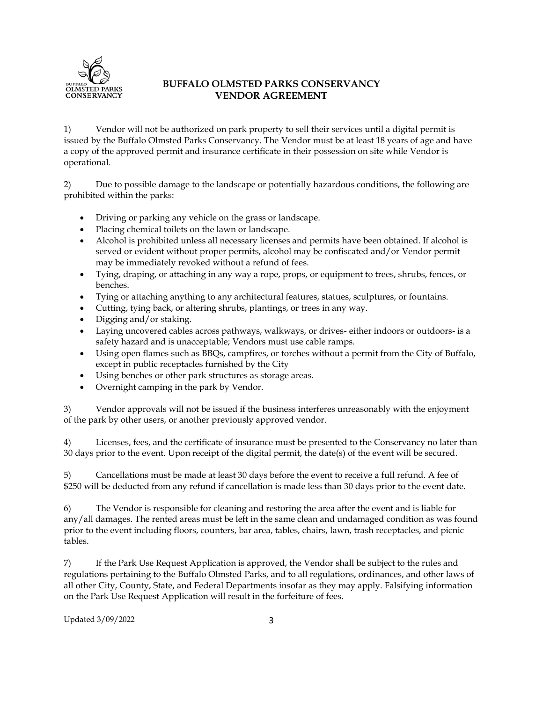

## **BUFFALO OLMSTED PARKS CONSERVANCY VENDOR AGREEMENT**

1) Vendor will not be authorized on park property to sell their services until a digital permit is issued by the Buffalo Olmsted Parks Conservancy. The Vendor must be at least 18 years of age and have a copy of the approved permit and insurance certificate in their possession on site while Vendor is operational.

2) Due to possible damage to the landscape or potentially hazardous conditions, the following are prohibited within the parks:

- Driving or parking any vehicle on the grass or landscape.
- Placing chemical toilets on the lawn or landscape.
- Alcohol is prohibited unless all necessary licenses and permits have been obtained. If alcohol is served or evident without proper permits, alcohol may be confiscated and/or Vendor permit may be immediately revoked without a refund of fees.
- Tying, draping, or attaching in any way a rope, props, or equipment to trees, shrubs, fences, or benches.
- Tying or attaching anything to any architectural features, statues, sculptures, or fountains.
- Cutting, tying back, or altering shrubs, plantings, or trees in any way.
- Digging and/or staking.
- Laying uncovered cables across pathways, walkways, or drives- either indoors or outdoors- is a safety hazard and is unacceptable; Vendors must use cable ramps.
- Using open flames such as BBQs, campfires, or torches without a permit from the City of Buffalo, except in public receptacles furnished by the City
- Using benches or other park structures as storage areas.
- Overnight camping in the park by Vendor.

3) Vendor approvals will not be issued if the business interferes unreasonably with the enjoyment of the park by other users, or another previously approved vendor.

4) Licenses, fees, and the certificate of insurance must be presented to the Conservancy no later than 30 days prior to the event. Upon receipt of the digital permit, the date(s) of the event will be secured.

5) Cancellations must be made at least 30 days before the event to receive a full refund. A fee of \$250 will be deducted from any refund if cancellation is made less than 30 days prior to the event date.

6) The Vendor is responsible for cleaning and restoring the area after the event and is liable for any/all damages. The rented areas must be left in the same clean and undamaged condition as was found prior to the event including floors, counters, bar area, tables, chairs, lawn, trash receptacles, and picnic tables.

7) If the Park Use Request Application is approved, the Vendor shall be subject to the rules and regulations pertaining to the Buffalo Olmsted Parks, and to all regulations, ordinances, and other laws of all other City, County, State, and Federal Departments insofar as they may apply. Falsifying information on the Park Use Request Application will result in the forfeiture of fees.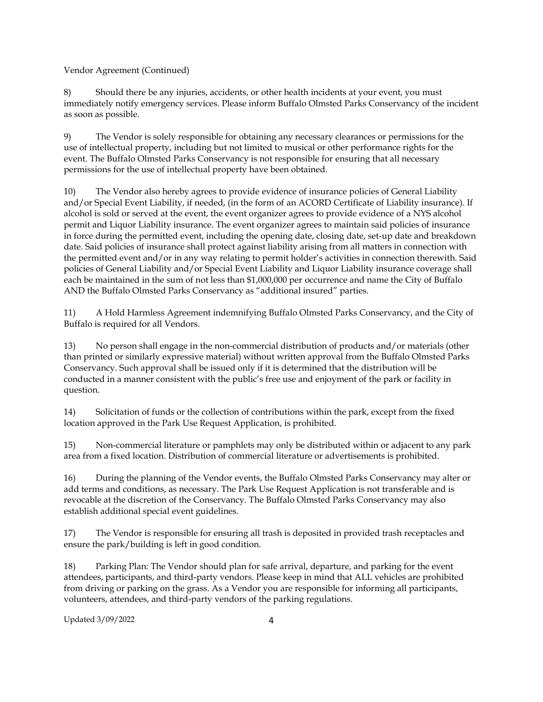Vendor Agreement (Continued)

8) Should there be any injuries, accidents, or other health incidents at your event, you must immediately notify emergency services. Please inform Buffalo Olmsted Parks Conservancy of the incident as soon as possible.

9) The Vendor is solely responsible for obtaining any necessary clearances or permissions for the use of intellectual property, including but not limited to musical or other performance rights for the event. The Buffalo Olmsted Parks Conservancy is not responsible for ensuring that all necessary permissions for the use of intellectual property have been obtained.

10) The Vendor also hereby agrees to provide evidence of insurance policies of General Liability and/or Special Event Liability, if needed, (in the form of an ACORD Certificate of Liability insurance). If alcohol is sold or served at the event, the event organizer agrees to provide evidence of a NYS alcohol permit and Liquor Liability insurance. The event organizer agrees to maintain said policies of insurance in force during the permitted event, including the opening date, closing date, set-up date and breakdown date. Said policies of insurance shall protect against liability arising from all matters in connection with the permitted event and/or in any way relating to permit holder's activities in connection therewith. Said policies of General Liability and/or Special Event Liability and Liquor Liability insurance coverage shall each be maintained in the sum of not less than \$1,000,000 per occurrence and name the City of Buffalo AND the Buffalo Olmsted Parks Conservancy as "additional insured" parties.

11) A Hold Harmless Agreement indemnifying Buffalo Olmsted Parks Conservancy, and the City of Buffalo is required for all Vendors.

13) No person shall engage in the non-commercial distribution of products and/or materials (other than printed or similarly expressive material) without written approval from the Buffalo Olmsted Parks Conservancy. Such approval shall be issued only if it is determined that the distribution will be conducted in a manner consistent with the public's free use and enjoyment of the park or facility in question.

14) Solicitation of funds or the collection of contributions within the park, except from the fixed location approved in the Park Use Request Application, is prohibited.

15) Non-commercial literature or pamphlets may only be distributed within or adjacent to any park area from a fixed location. Distribution of commercial literature or advertisements is prohibited.

16) During the planning of the Vendor events, the Buffalo Olmsted Parks Conservancy may alter or add terms and conditions, as necessary. The Park Use Request Application is not transferable and is revocable at the discretion of the Conservancy. The Buffalo Olmsted Parks Conservancy may also establish additional special event guidelines.

17) The Vendor is responsible for ensuring all trash is deposited in provided trash receptacles and ensure the park/building is left in good condition.

18) Parking Plan: The Vendor should plan for safe arrival, departure, and parking for the event attendees, participants, and third-party vendors. Please keep in mind that ALL vehicles are prohibited from driving or parking on the grass. As a Vendor you are responsible for informing all participants, volunteers, attendees, and third-party vendors of the parking regulations.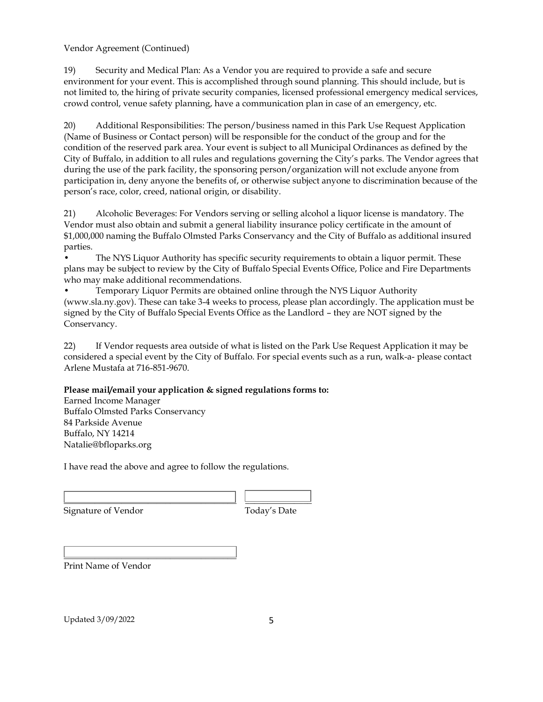Vendor Agreement (Continued)

19) Security and Medical Plan: As a Vendor you are required to provide a safe and secure environment for your event. This is accomplished through sound planning. This should include, but is not limited to, the hiring of private security companies, licensed professional emergency medical services, crowd control, venue safety planning, have a communication plan in case of an emergency, etc.

20) Additional Responsibilities: The person/business named in this Park Use Request Application (Name of Business or Contact person) will be responsible for the conduct of the group and for the condition of the reserved park area. Your event is subject to all Municipal Ordinances as defined by the City of Buffalo, in addition to all rules and regulations governing the City's parks. The Vendor agrees that during the use of the park facility, the sponsoring person/organization will not exclude anyone from participation in, deny anyone the benefits of, or otherwise subject anyone to discrimination because of the person's race, color, creed, national origin, or disability.

21) Alcoholic Beverages: For Vendors serving or selling alcohol a liquor license is mandatory. The Vendor must also obtain and submit a general liability insurance policy certificate in the amount of \$1,000,000 naming the Buffalo Olmsted Parks Conservancy and the City of Buffalo as additional insured parties.

The NYS Liquor Authority has specific security requirements to obtain a liquor permit. These plans may be subject to review by the City of Buffalo Special Events Office, Police and Fire Departments who may make additional recommendations.

• Temporary Liquor Permits are obtained online through the NYS Liquor Authority (www.sla.ny.gov). These can take 3-4 weeks to process, please plan accordingly. The application must be signed by the City of Buffalo Special Events Office as the Landlord – they are NOT signed by the Conservancy.

22) If Vendor requests area outside of what is listed on the Park Use Request Application it may be considered a special event by the City of Buffalo. For special events such as a run, walk-a- please contact Arlene Mustafa at 716-851-9670.

#### **Please mail/email your application & signed regulations forms to:**

Earned Income Manager Buffalo Olmsted Parks Conservancy 84 Parkside Avenue Buffalo, NY 14214 Natalie@bfloparks.org

I have read the above and agree to follow the regulations.

\_\_\_\_\_\_\_\_\_\_\_\_\_\_\_\_\_\_\_\_\_\_\_\_\_\_\_\_\_\_\_\_\_\_\_\_\_\_\_ \_\_\_\_\_\_\_\_\_\_\_\_\_\_\_ Signature of Vendor Today's Date

 $\overline{\phantom{a}}$  , and the contract of the contract of the contract of the contract of the contract of the contract of the contract of the contract of the contract of the contract of the contract of the contract of the contrac Print Name of Vendor